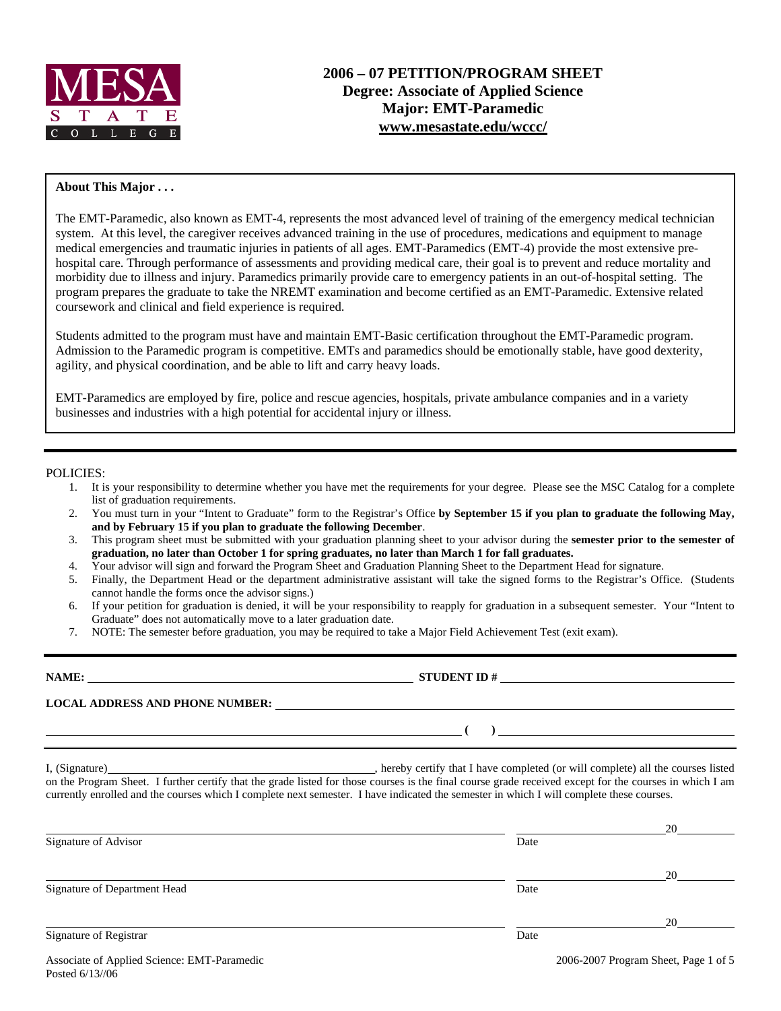

## **About This Major . . .**

The EMT-Paramedic, also known as EMT-4, represents the most advanced level of training of the emergency medical technician system. At this level, the caregiver receives advanced training in the use of procedures, medications and equipment to manage medical emergencies and traumatic injuries in patients of all ages. EMT-Paramedics (EMT-4) provide the most extensive prehospital care. Through performance of assessments and providing medical care, their goal is to prevent and reduce mortality and morbidity due to illness and injury. Paramedics primarily provide care to emergency patients in an out-of-hospital setting. The program prepares the graduate to take the NREMT examination and become certified as an EMT-Paramedic. Extensive related coursework and clinical and field experience is required.

Students admitted to the program must have and maintain EMT-Basic certification throughout the EMT-Paramedic program. Admission to the Paramedic program is competitive. EMTs and paramedics should be emotionally stable, have good dexterity, agility, and physical coordination, and be able to lift and carry heavy loads.

EMT-Paramedics are employed by fire, police and rescue agencies, hospitals, private ambulance companies and in a variety businesses and industries with a high potential for accidental injury or illness.

### POLICIES:

- 1. It is your responsibility to determine whether you have met the requirements for your degree. Please see the MSC Catalog for a complete list of graduation requirements.
- 2. You must turn in your "Intent to Graduate" form to the Registrar's Office **by September 15 if you plan to graduate the following May, and by February 15 if you plan to graduate the following December**.
- 3. This program sheet must be submitted with your graduation planning sheet to your advisor during the **semester prior to the semester of graduation, no later than October 1 for spring graduates, no later than March 1 for fall graduates.**
- 4. Your advisor will sign and forward the Program Sheet and Graduation Planning Sheet to the Department Head for signature.
- 5. Finally, the Department Head or the department administrative assistant will take the signed forms to the Registrar's Office. (Students cannot handle the forms once the advisor signs.)
- 6. If your petition for graduation is denied, it will be your responsibility to reapply for graduation in a subsequent semester. Your "Intent to Graduate" does not automatically move to a later graduation date.
- 7. NOTE: The semester before graduation, you may be required to take a Major Field Achievement Test (exit exam).

**LOCAL ADDRESS AND PHONE NUMBER:**

I, (Signature) and the completed (or will completed (or will complete) all the courses listed

 **( )** 

on the Program Sheet. I further certify that the grade listed for those courses is the final course grade received except for the courses in which I am currently enrolled and the courses which I complete next semester. I have indicated the semester in which I will complete these courses.

**NAME: STUDENT ID #**

|                                             |      | 20                                   |
|---------------------------------------------|------|--------------------------------------|
| Signature of Advisor                        | Date |                                      |
|                                             |      | 20                                   |
| Signature of Department Head                | Date |                                      |
|                                             |      | 20                                   |
| Signature of Registrar                      | Date |                                      |
| Associate of Applied Science: EMT-Paramedic |      | 2006-2007 Program Sheet, Page 1 of 5 |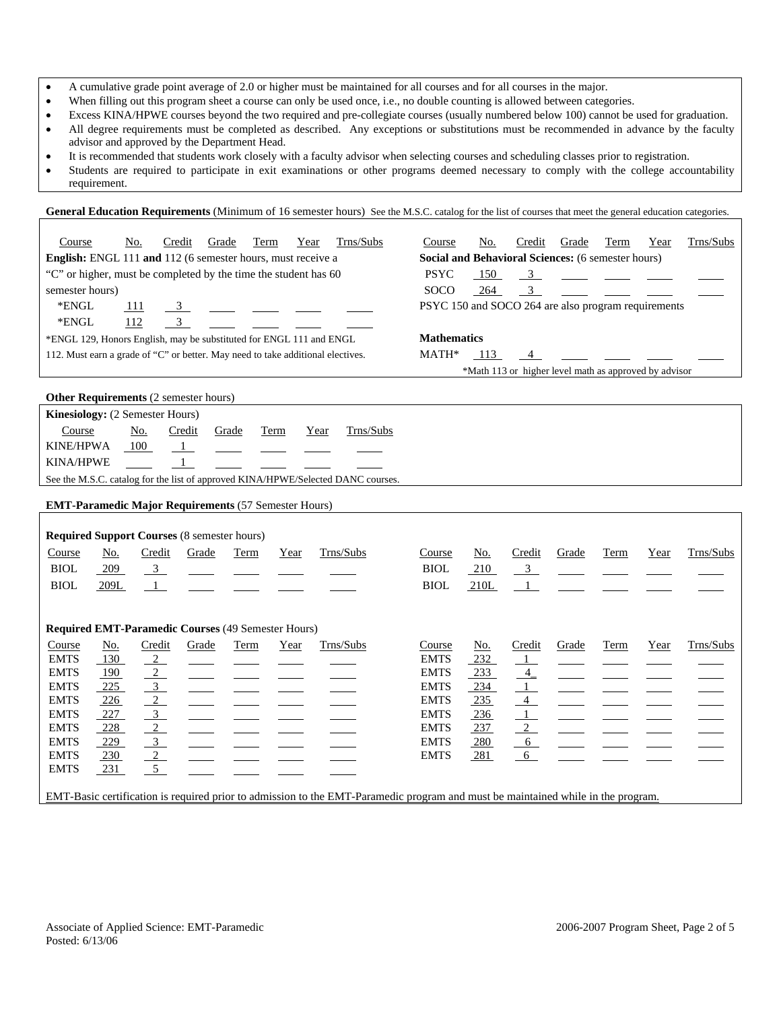- A cumulative grade point average of 2.0 or higher must be maintained for all courses and for all courses in the major.
- When filling out this program sheet a course can only be used once, i.e., no double counting is allowed between categories.
- Excess KINA/HPWE courses beyond the two required and pre-collegiate courses (usually numbered below 100) cannot be used for graduation.
- All degree requirements must be completed as described. Any exceptions or substitutions must be recommended in advance by the faculty advisor and approved by the Department Head.
- It is recommended that students work closely with a faculty advisor when selecting courses and scheduling classes prior to registration.
- Students are required to participate in exit examinations or other programs deemed necessary to comply with the college accountability requirement.

#### **General Education Requirements** (Minimum of 16 semester hours) See the M.S.C. catalog for the list of courses that meet the general education categories.

| Course                                                                          | No.            | Credit | Grade            | Term | Year               | Trns/Subs                                          | Course                                              | No. | Credit                                                | Grade          | Term                                                                  | Year | Trns/Subs |
|---------------------------------------------------------------------------------|----------------|--------|------------------|------|--------------------|----------------------------------------------------|-----------------------------------------------------|-----|-------------------------------------------------------|----------------|-----------------------------------------------------------------------|------|-----------|
| <b>English:</b> ENGL 111 and 112 (6 semester hours, must receive a              |                |        |                  |      |                    | Social and Behavioral Sciences: (6 semester hours) |                                                     |     |                                                       |                |                                                                       |      |           |
| "C" or higher, must be completed by the time the student has 60                 |                |        |                  |      | <b>PSYC</b>        | 150                                                |                                                     |     |                                                       |                | $\frac{3}{2}$ $\frac{1}{2}$ $\frac{1}{2}$ $\frac{1}{2}$ $\frac{1}{2}$ |      |           |
| semester hours)                                                                 |                |        |                  |      |                    |                                                    | <b>SOCO</b>                                         | 264 |                                                       | $\overline{3}$ |                                                                       |      |           |
| *ENGL                                                                           | <sup>111</sup> |        | 3 <u>_</u> _ _ _ |      |                    |                                                    | PSYC 150 and SOCO 264 are also program requirements |     |                                                       |                |                                                                       |      |           |
| *ENGL                                                                           | 112            |        |                  |      |                    |                                                    |                                                     |     |                                                       |                |                                                                       |      |           |
| *ENGL 129, Honors English, may be substituted for ENGL 111 and ENGL             |                |        |                  |      | <b>Mathematics</b> |                                                    |                                                     |     |                                                       |                |                                                                       |      |           |
| 112. Must earn a grade of "C" or better. May need to take additional electives. |                |        |                  |      | MATH*              | - 113                                              |                                                     |     |                                                       |                |                                                                       |      |           |
|                                                                                 |                |        |                  |      |                    |                                                    |                                                     |     | *Math 113 or higher level math as approved by advisor |                |                                                                       |      |           |

#### **Other Requirements** (2 semester hours)

| <b>Kinesiology:</b> (2 Semester Hours)                                           |     |              |       |           |  |           |  |  |
|----------------------------------------------------------------------------------|-----|--------------|-------|-----------|--|-----------|--|--|
| Course                                                                           | No. | Credit       | Grade | Term Year |  | Trns/Subs |  |  |
| KINE/HPWA                                                                        | 100 | $\mathbf{1}$ |       |           |  |           |  |  |
| KINA/HPWE                                                                        |     |              |       |           |  |           |  |  |
| See the M.S.C. catalog for the list of approved KINA/HPWE/Selected DANC courses. |     |              |       |           |  |           |  |  |

### **EMT-Paramedic Major Requirements** (57 Semester Hours)

|             |            | <b>Required Support Courses (8 semester hours)</b>        |       |      |      |           |                                                                                                                                  |            |                 |       |      |      |           |
|-------------|------------|-----------------------------------------------------------|-------|------|------|-----------|----------------------------------------------------------------------------------------------------------------------------------|------------|-----------------|-------|------|------|-----------|
| Course      | No.        | Credit                                                    | Grade | Term | Year | Trns/Subs | Course                                                                                                                           | No.        | Credit          | Grade | Term | Year | Trns/Subs |
| <b>BIOL</b> | 209        | $\frac{3}{2}$                                             |       |      |      |           | <b>BIOL</b>                                                                                                                      | 210        | $\frac{3}{2}$   |       |      |      |           |
| <b>BIOL</b> | 209L       | $\mathbf{1}$                                              |       |      |      |           | <b>BIOL</b>                                                                                                                      | 210L       |                 |       |      |      |           |
|             |            |                                                           |       |      |      |           |                                                                                                                                  |            |                 |       |      |      |           |
|             |            |                                                           |       |      |      |           |                                                                                                                                  |            |                 |       |      |      |           |
|             |            | <b>Required EMT-Paramedic Courses (49 Semester Hours)</b> |       |      |      |           |                                                                                                                                  |            |                 |       |      |      |           |
| Course      | No.        | Credit                                                    | Grade | Term | Year | Trns/Subs | Course                                                                                                                           | No.        | Credit          | Grade | Term | Year | Trns/Subs |
| <b>EMTS</b> | 130        | $\frac{2}{2}$                                             |       |      |      |           | <b>EMTS</b>                                                                                                                      | 232        | $\perp$         |       |      |      |           |
| <b>EMTS</b> | 190        | $\frac{2}{2}$                                             |       |      |      |           | <b>EMTS</b>                                                                                                                      | 233        | $\frac{4}{1}$   |       |      |      |           |
| <b>EMTS</b> | 225        | $\overline{\phantom{0}3}$                                 |       |      |      |           | <b>EMTS</b>                                                                                                                      | 234        | $\overline{1}$  |       |      |      |           |
| <b>EMTS</b> | <u>226</u> | $\sqrt{2}$                                                |       |      |      |           | <b>EMTS</b>                                                                                                                      | <u>235</u> | $\overline{4}$  |       |      |      |           |
| <b>EMTS</b> | 227        | $\overline{\phantom{0}3}$                                 |       |      |      |           | <b>EMTS</b>                                                                                                                      | 236        | $\overline{1}$  |       |      |      |           |
| <b>EMTS</b> | 228        | $\overline{2}$                                            |       |      |      |           | <b>EMTS</b>                                                                                                                      | 237        | $\frac{2}{2}$   |       |      |      |           |
| <b>EMTS</b> | 229        | $\overline{3}$                                            |       |      |      |           | <b>EMTS</b>                                                                                                                      | 280        | $6\overline{6}$ |       |      |      |           |
| <b>EMTS</b> | 230        | $\sqrt{2}$                                                |       |      |      |           | <b>EMTS</b>                                                                                                                      | <u>281</u> | - 6             |       |      |      |           |
| <b>EMTS</b> | 231        | 5                                                         |       |      |      |           |                                                                                                                                  |            |                 |       |      |      |           |
|             |            |                                                           |       |      |      |           |                                                                                                                                  |            |                 |       |      |      |           |
|             |            |                                                           |       |      |      |           | EMT-Basic certification is required prior to admission to the EMT-Paramedic program and must be maintained while in the program. |            |                 |       |      |      |           |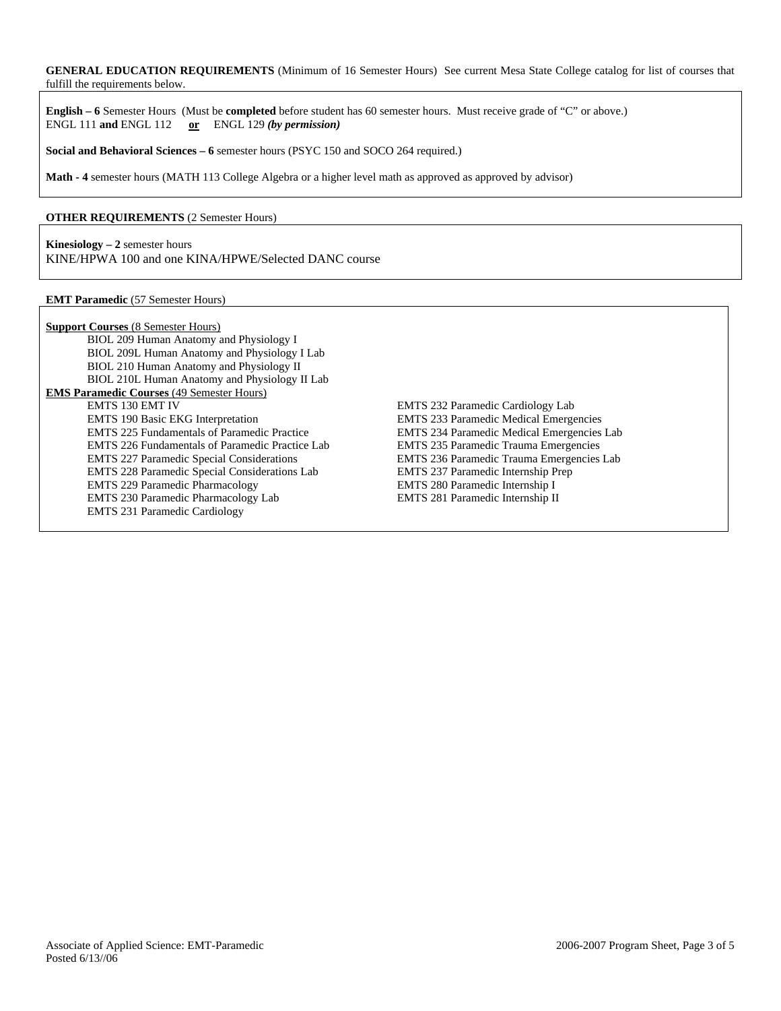**GENERAL EDUCATION REQUIREMENTS** (Minimum of 16 Semester Hours) See current Mesa State College catalog for list of courses that fulfill the requirements below.

**English – 6** Semester Hours (Must be **completed** before student has 60 semester hours. Must receive grade of "C" or above.) ENGL 111 **and** ENGL 112 **or** ENGL 129 *(by permission)*

**Social and Behavioral Sciences – 6** semester hours (PSYC 150 and SOCO 264 required.)

**Math - 4** semester hours (MATH 113 College Algebra or a higher level math as approved as approved by advisor)

## **OTHER REQUIREMENTS** (2 Semester Hours)

**Kinesiology – 2** semester hours KINE/HPWA 100 and one KINA/HPWE/Selected DANC course

#### **EMT Paramedic** (57 Semester Hours)

| <b>Support Courses (8 Semester Hours)</b>              |                                                   |
|--------------------------------------------------------|---------------------------------------------------|
| BIOL 209 Human Anatomy and Physiology I                |                                                   |
| BIOL 209L Human Anatomy and Physiology I Lab           |                                                   |
| BIOL 210 Human Anatomy and Physiology II               |                                                   |
| BIOL 210L Human Anatomy and Physiology II Lab          |                                                   |
| <b>EMS Paramedic Courses (49 Semester Hours)</b>       |                                                   |
| <b>EMTS 130 EMT IV</b>                                 | <b>EMTS</b> 232 Paramedic Cardiology Lab          |
| <b>EMTS</b> 190 Basic EKG Interpretation               | <b>EMTS 233 Paramedic Medical Emergencies</b>     |
| <b>EMTS</b> 225 Fundamentals of Paramedic Practice     | <b>EMTS 234 Paramedic Medical Emergencies Lab</b> |
| <b>EMTS</b> 226 Fundamentals of Paramedic Practice Lab | <b>EMTS</b> 235 Paramedic Trauma Emergencies      |
| <b>EMTS</b> 227 Paramedic Special Considerations       | EMTS 236 Paramedic Trauma Emergencies Lab         |
| EMTS 228 Paramedic Special Considerations Lab          | <b>EMTS</b> 237 Paramedic Internship Prep         |
| <b>EMTS</b> 229 Paramedic Pharmacology                 | EMTS 280 Paramedic Internship I                   |
| EMTS 230 Paramedic Pharmacology Lab                    | <b>EMTS</b> 281 Paramedic Internship II           |
| <b>EMTS 231 Paramedic Cardiology</b>                   |                                                   |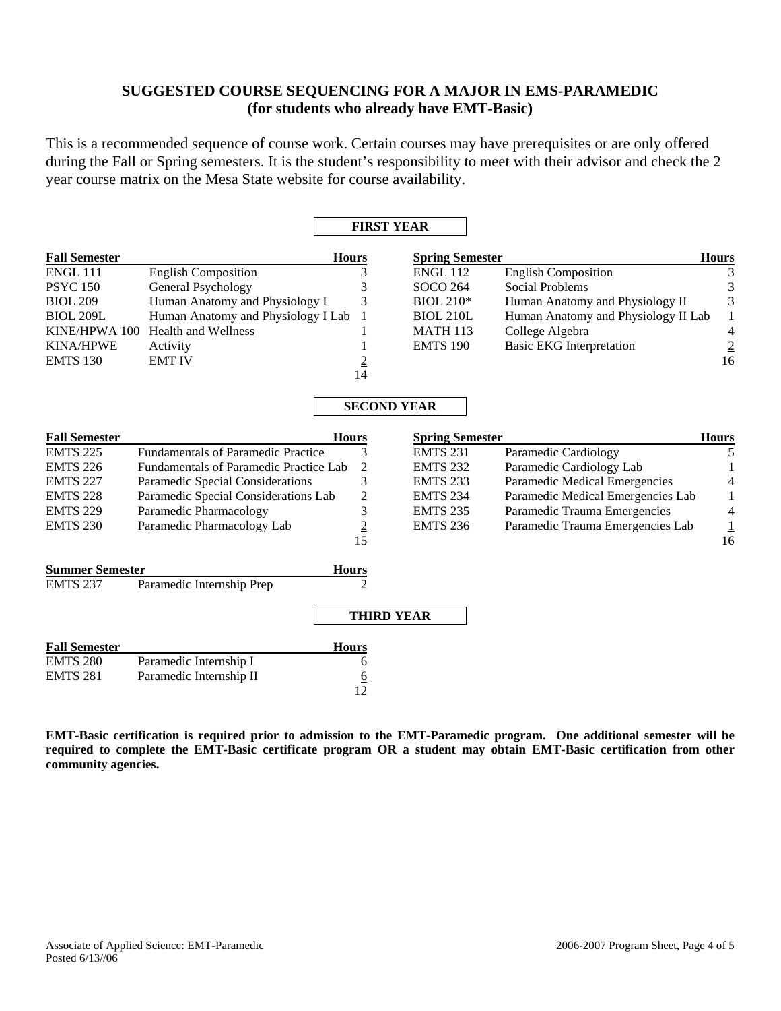# **SUGGESTED COURSE SEQUENCING FOR A MAJOR IN EMS-PARAMEDIC (for students who already have EMT-Basic)**

This is a recommended sequence of course work. Certain courses may have prerequisites or are only offered during the Fall or Spring semesters. It is the student's responsibility to meet with their advisor and check the 2 year course matrix on the Mesa State website for course availability.

|                        |                                           | <b>FIRST YEAR</b>       |                        |                                     |                          |
|------------------------|-------------------------------------------|-------------------------|------------------------|-------------------------------------|--------------------------|
| <b>Fall Semester</b>   |                                           | <b>Hours</b>            | <b>Spring Semester</b> |                                     | <b>Hours</b>             |
| ENGL 111               | <b>English Composition</b>                | 3                       | <b>ENGL 112</b>        | <b>English Composition</b>          | 3                        |
| <b>PSYC</b> 150        | General Psychology                        | 3                       | SOCO 264               | <b>Social Problems</b>              | 3                        |
| <b>BIOL 209</b>        | Human Anatomy and Physiology I            | 3                       | <b>BIOL 210*</b>       | Human Anatomy and Physiology II     | 3                        |
| <b>BIOL 209L</b>       | Human Anatomy and Physiology I Lab        | 1                       | <b>BIOL 210L</b>       | Human Anatomy and Physiology II Lab | $\mathbf{1}$             |
| KINE/HPWA 100          | Health and Wellness                       | 1                       | <b>MATH 113</b>        | College Algebra                     | $\overline{4}$           |
| <b>KINA/HPWE</b>       | Activity                                  | 1                       | <b>EMTS 190</b>        | <b>Hasic EKG Interpretation</b>     | $\frac{2}{16}$           |
| <b>EMTS 130</b>        | <b>EMT IV</b>                             | $\overline{2}$          |                        |                                     |                          |
|                        |                                           | 14                      |                        |                                     |                          |
|                        |                                           | <b>SECOND YEAR</b>      |                        |                                     |                          |
|                        |                                           |                         |                        |                                     |                          |
| <b>Fall Semester</b>   |                                           | <b>Hours</b>            | <b>Spring Semester</b> |                                     | <b>Hours</b>             |
| <b>EMTS 225</b>        | <b>Fundamentals of Paramedic Practice</b> | 3                       | <b>EMTS 231</b>        | Paramedic Cardiology                | 5                        |
| <b>EMTS 226</b>        | Fundamentals of Paramedic Practice Lab    | $\overline{2}$          | <b>EMTS 232</b>        | Paramedic Cardiology Lab            |                          |
| <b>EMTS 227</b>        | Paramedic Special Considerations          | 3                       | <b>EMTS 233</b>        | Paramedic Medical Emergencies       | 4                        |
| <b>EMTS 228</b>        | Paramedic Special Considerations Lab      | $\overline{\mathbf{c}}$ | <b>EMTS 234</b>        | Paramedic Medical Emergencies Lab   | 1                        |
| <b>EMTS 229</b>        | Paramedic Pharmacology                    | 3                       | <b>EMTS 235</b>        | Paramedic Trauma Emergencies        | $\overline{\mathcal{L}}$ |
| <b>EMTS 230</b>        | Paramedic Pharmacology Lab                | $\frac{2}{15}$          | <b>EMTS 236</b>        | Paramedic Trauma Emergencies Lab    | $\frac{1}{16}$           |
|                        |                                           |                         |                        |                                     |                          |
| <b>Summer Semester</b> |                                           | <b>Hours</b>            |                        |                                     |                          |
| <b>EMTS 237</b>        | Paramedic Internship Prep                 | $\overline{2}$          |                        |                                     |                          |
|                        |                                           | <b>THIRD YEAR</b>       |                        |                                     |                          |
| <b>Fall Semester</b>   |                                           | <b>Hours</b>            |                        |                                     |                          |
| <b>EMTS 280</b>        | Paramedic Internship I                    | 6                       |                        |                                     |                          |
| <b>EMTS 281</b>        | Paramedic Internship II                   | $\frac{6}{12}$          |                        |                                     |                          |
|                        |                                           |                         |                        |                                     |                          |

**EMT-Basic certification is required prior to admission to the EMT-Paramedic program. One additional semester will be required to complete the EMT-Basic certificate program OR a student may obtain EMT-Basic certification from other community agencies.**